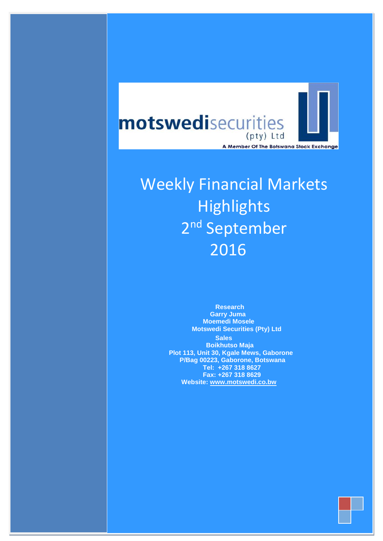

# Weekly Financial Markets **Highlights** 2<sup>nd</sup> September 2016

 **Research Garry Juma Moemedi Mosele Motswedi Securities (Pty) Ltd Sales Boikhutso Maja Plot 113, Unit 30, Kgale Mews, Gaborone P/Bag 00223, Gaborone, Botswana Tel: +267 318 8627 Fax: +267 318 8629 Website: [www.motswedi.co.bw](http://www.motswedi.co.bw/)**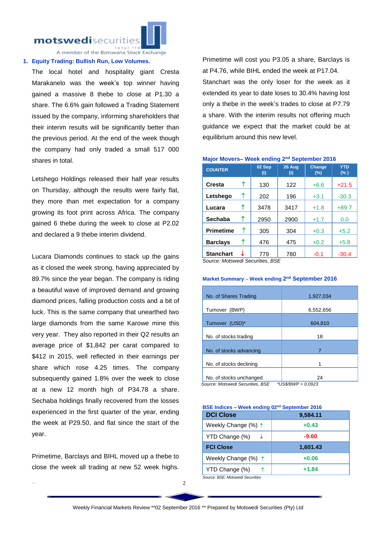motswedisecurities



A member of the Botswana Stock Exchange

#### **1. Equity Trading: Bullish Run, Low Volumes.**

The local hotel and hospitality giant Cresta Marakanelo was the week's top winner having gained a massive 8 thebe to close at P1.30 a share. The 6.6% gain followed a Trading Statement issued by the company, informing shareholders that their interim results will be significantly better than the previous period. At the end of the week though the company had only traded a small 517 000 shares in total.

Letshego Holdings released their half year results on Thursday, although the results were fairly flat, they more than met expectation for a company growing its foot print across Africa. The company gained 6 thebe during the week to close at P2.02 and declared a 9 thebe interim dividend.

Lucara Diamonds continues to stack up the gains as it closed the week strong, having appreciated by 89.7% since the year began. The company is riding a beautiful wave of improved demand and growing diamond prices, falling production costs and a bit of luck. This is the same company that unearthed two large diamonds from the same Karowe mine this very year. They also reported in their Q2 results an average price of \$1,842 per carat compared to \$412 in 2015, well reflected in their earnings per share which rose 4.25 times. The company subsequently gained 1.8% over the week to close at a new 12 month high of P34.78 a share. Sechaba holdings finally recovered from the losses experienced in the first quarter of the year, ending the week at P29.50, and flat since the start of the year.

Primetime, Barclays and BIHL moved up a thebe to close the week all trading at new 52 week highs.

¯

Primetime will cost you P3.05 a share, Barclays is at P4.76, while BIHL ended the week at P17.04. Stanchart was the only loser for the week as it extended its year to date loses to 30.4% having lost only a thebe in the week's trades to close at P7.79 a share. With the interim results not offering much guidance we expect that the market could be at equilibrium around this new level.

| <b>COUNTER</b>   |                | 02 Sep<br>(t)                | 26 Aug<br>(t) | <b>Change</b><br>(%) | <b>YTD</b><br>(% ) |
|------------------|----------------|------------------------------|---------------|----------------------|--------------------|
| <b>Cresta</b>    | ↑              | 130                          | 122           | $+6.6$               | $+21.5$            |
| Letshego         | ↑              | 202                          | 196           | $+3.1$               | $-30.3$            |
| Lucara           | ↑              | 3478                         | 3417          | $+1.8$               | $+89.7$            |
| <b>Sechaba</b>   | ↑              | 2950                         | 2900          | $+1.7$               | 0.0                |
| <b>Primetime</b> | ↑              | 305                          | 304           | $+0.3$               | $+5.2$             |
| <b>Barclays</b>  | ↑              | 476                          | 475           | $+0.2$               | $+5.8$             |
| <b>Stanchart</b> | $\cdot$ $\sim$ | 779<br>$n^{n}$<br>المستراتين | 780           | $-0.1$               | $-30.4$            |

**Major Movers– Week ending 2<sup>nd</sup> September 2016** 

*Source: Motswedi Securities, BSE*

#### **Market Summary – Week ending 2<sup>nd</sup> September 2016**

| No. of Shares Trading                                       | 1,927,034                   |  |  |
|-------------------------------------------------------------|-----------------------------|--|--|
| Turnover (BWP)                                              | 6,552,656                   |  |  |
| Turnover (USD)*                                             | 604,810                     |  |  |
| No. of stocks trading                                       | 18                          |  |  |
| No. of stocks advancing                                     | 7                           |  |  |
| No. of stocks declining                                     |                             |  |  |
| No. of stocks unchanged<br>Cauroo: Motowodi Coqurition, DCE | 24<br>*I IC¢/DIA/D — A AA22 |  |  |

 *Source: Motswedi Securities, BSE \*US\$/BWP = 0.0923*

**BSE Indices – Week ending 02nd September 2016 DCI Close 9,584.11** Weekly Change (%)  $\uparrow$  **+0.43** YTD Change (%) **-9.60 FCI Close 1,601.43** Weekly Change (%) **+0.06** YTD Change (%)  $\uparrow$  **+1.84** *Source: BSE; Motswedi Securities*

 $\overline{2}$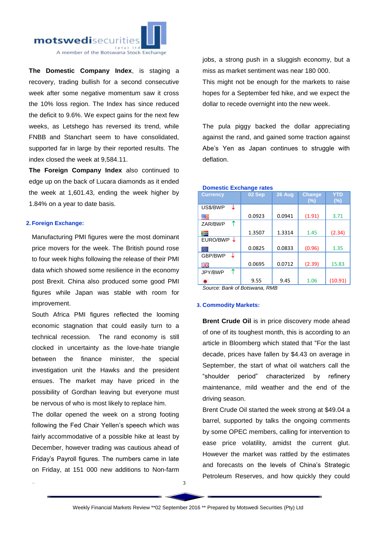

**The Domestic Company Index**, is staging a recovery, trading bullish for a second consecutive week after some negative momentum saw it cross the 10% loss region. The Index has since reduced the deficit to 9.6%. We expect gains for the next few weeks, as Letshego has reversed its trend, while FNBB and Stanchart seem to have consolidated, supported far in large by their reported results. The index closed the week at 9,584.11.

**The Foreign Company Index** also continued to edge up on the back of Lucara diamonds as it ended the week at 1,601.43, ending the week higher by 1.84% on a year to date basis.

# **2. Foreign Exchange:**

¯

Manufacturing PMI figures were the most dominant price movers for the week. The British pound rose to four week highs following the release of their PMI data which showed some resilience in the economy post Brexit. China also produced some good PMI figures while Japan was stable with room for improvement.

South Africa PMI figures reflected the looming economic stagnation that could easily turn to a technical recession. The rand economy is still clocked in uncertainty as the love-hate triangle between the finance minister, the special investigation unit the Hawks and the president ensues. The market may have priced in the possibility of Gordhan leaving but everyone must be nervous of who is most likely to replace him.

The dollar opened the week on a strong footing following the Fed Chair Yellen's speech which was fairly accommodative of a possible hike at least by December, however trading was cautious ahead of Friday's Payroll figures. The numbers came in late on Friday, at 151 000 new additions to Non-farm

jobs, a strong push in a sluggish economy, but a miss as market sentiment was near 180 000. This might not be enough for the markets to raise

hopes for a September fed hike, and we expect the dollar to recede overnight into the new week.

The pula piggy backed the dollar appreciating against the rand, and gained some traction against Abe's Yen as Japan continues to struggle with deflation.

| <b>Currency</b> | 02 Sep | 26 Aug | <b>Change</b><br>$(\% )$ | YTD<br>(%) |
|-----------------|--------|--------|--------------------------|------------|
| US\$/BWP<br>↓   |        |        |                          |            |
|                 | 0.0923 | 0.0941 | (1.91)                   | 3.71       |
| ↑<br>ZAR/BWP    |        |        |                          |            |
|                 | 1.3507 | 1.3314 | 1.45                     | (2.34)     |
| EURO/BWP        |        |        |                          |            |
|                 | 0.0825 | 0.0833 | (0.96)                   | 1.35       |
| GBP/BWP<br>J    |        |        |                          |            |
|                 | 0.0695 | 0.0712 | (2.39)                   | 15.83      |
| ↑<br>JPY/BWP    |        |        |                          |            |
|                 | 9.55   | 9.45   | 1.06                     | (10.91)    |

## **Domestic Exchange rates**

*Source: Bank of Botswana, RMB*

## **3. Commodity Markets:**

**Brent Crude Oil** is in price discovery mode ahead of one of its toughest month, this is according to an article in Bloomberg which stated that "For the last decade, prices have fallen by \$4.43 on average in September, the start of what oil watchers call the "shoulder period" characterized by refinery maintenance, mild weather and the end of the driving season.

Brent Crude Oil started the week strong at \$49.04 a barrel, supported by talks the ongoing comments by some OPEC members, calling for intervention to ease price volatility, amidst the current glut. However the market was rattled by the estimates and forecasts on the levels of China's Strategic Petroleum Reserves, and how quickly they could